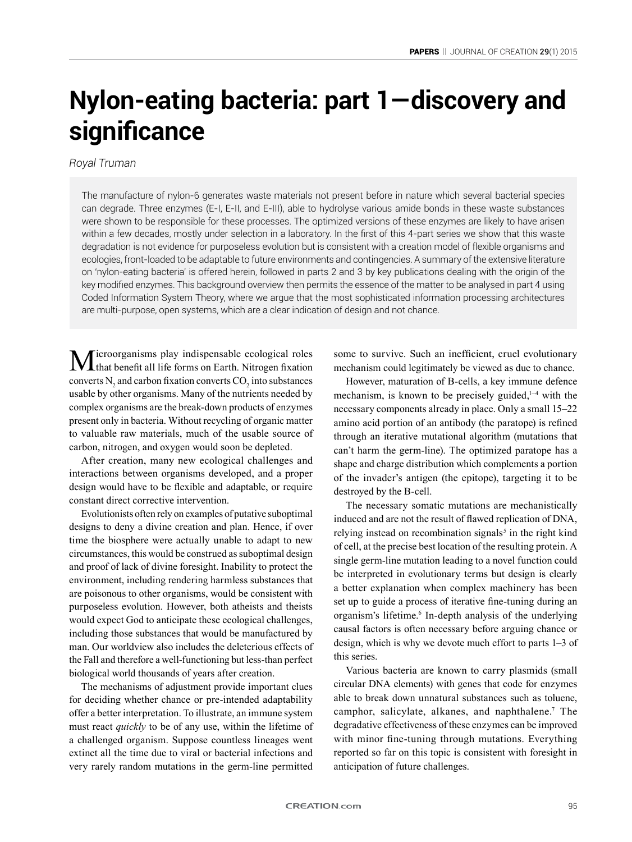# **Nylon-eating bacteria: part 1—discovery and significance**

# *Royal Truman*

The manufacture of nylon-6 generates waste materials not present before in nature which several bacterial species can degrade. Three enzymes (E-I, E-II, and E-III), able to hydrolyse various amide bonds in these waste substances were shown to be responsible for these processes. The optimized versions of these enzymes are likely to have arisen within a few decades, mostly under selection in a laboratory. In the first of this 4-part series we show that this waste degradation is not evidence for purposeless evolution but is consistent with a creation model of flexible organisms and ecologies, front-loaded to be adaptable to future environments and contingencies. A summary of the extensive literature on 'nylon-eating bacteria' is offered herein, followed in parts 2 and 3 by key publications dealing with the origin of the key modified enzymes. This background overview then permits the essence of the matter to be analysed in part 4 using Coded Information System Theory, where we argue that the most sophisticated information processing architectures are multi-purpose, open systems, which are a clear indication of design and not chance.

 $M$ icroorganisms play indispensable ecological roles that benefit all life forms on Earth. Nitrogen fixation converts  $N_2$  and carbon fixation converts  $CO_2$  into substances usable by other organisms. Many of the nutrients needed by complex organisms are the break-down products of enzymes present only in bacteria. Without recycling of organic matter to valuable raw materials, much of the usable source of carbon, nitrogen, and oxygen would soon be depleted.

After creation, many new ecological challenges and interactions between organisms developed, and a proper design would have to be flexible and adaptable, or require constant direct corrective intervention.

Evolutionists often rely on examples of putative suboptimal designs to deny a divine creation and plan. Hence, if over time the biosphere were actually unable to adapt to new circumstances, this would be construed as suboptimal design and proof of lack of divine foresight. Inability to protect the environment, including rendering harmless substances that are poisonous to other organisms, would be consistent with purposeless evolution. However, both atheists and theists would expect God to anticipate these ecological challenges, including those substances that would be manufactured by man. Our worldview also includes the deleterious effects of the Fall and therefore a well-functioning but less-than perfect biological world thousands of years after creation.

The mechanisms of adjustment provide important clues for deciding whether chance or pre-intended adaptability offer a better interpretation. To illustrate, an immune system must react *quickly* to be of any use, within the lifetime of a challenged organism. Suppose countless lineages went extinct all the time due to viral or bacterial infections and very rarely random mutations in the germ-line permitted some to survive. Such an inefficient, cruel evolutionary mechanism could legitimately be viewed as due to chance.

However, maturation of B-cells, a key immune defence mechanism, is known to be precisely guided, $1-4$  with the necessary components already in place. Only a small 15–22 amino acid portion of an antibody (the paratope) is refined through an iterative mutational algorithm (mutations that can't harm the germ-line). The optimized paratope has a shape and charge distribution which complements a portion of the invader's antigen (the epitope), targeting it to be destroyed by the B-cell.

The necessary somatic mutations are mechanistically induced and are not the result of flawed replication of DNA, relying instead on recombination signals<sup>5</sup> in the right kind of cell, at the precise best location of the resulting protein. A single germ-line mutation leading to a novel function could be interpreted in evolutionary terms but design is clearly a better explanation when complex machinery has been set up to guide a process of iterative fine-tuning during an organism's lifetime.<sup>6</sup> In-depth analysis of the underlying causal factors is often necessary before arguing chance or design, which is why we devote much effort to parts 1–3 of this series.

Various bacteria are known to carry plasmids (small circular DNA elements) with genes that code for enzymes able to break down unnatural substances such as toluene, camphor, salicylate, alkanes, and naphthalene.<sup>7</sup> The degradative effectiveness of these enzymes can be improved with minor fine-tuning through mutations. Everything reported so far on this topic is consistent with foresight in anticipation of future challenges.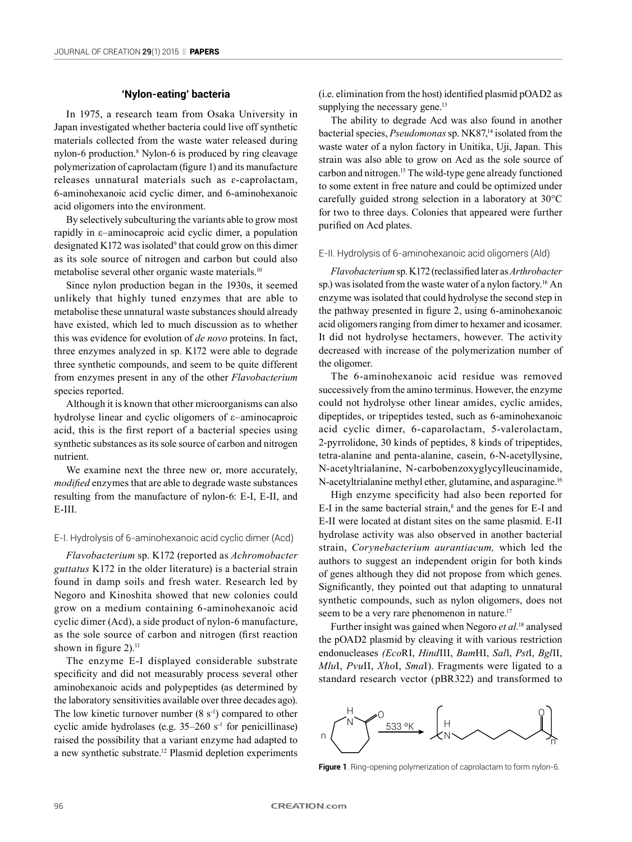## **'Nylon-eating' bacteria**

In 1975, a research team from Osaka University in Japan investigated whether bacteria could live off synthetic materials collected from the waste water released during nylon-6 production.<sup>8</sup> Nylon-6 is produced by ring cleavage polymerization of caprolactam (figure 1) and its manufacture releases unnatural materials such as ɛ-caprolactam, 6-aminohexanoic acid cyclic dimer, and 6-aminohexanoic acid oligomers into the environment.

By selectively subculturing the variants able to grow most rapidly in ε–aminocaproic acid cyclic dimer, a population designated K172 was isolated $9$  that could grow on this dimer as its sole source of nitrogen and carbon but could also metabolise several other organic waste materials.<sup>10</sup>

Since nylon production began in the 1930s, it seemed unlikely that highly tuned enzymes that are able to metabolise these unnatural waste substances should already have existed, which led to much discussion as to whether this was evidence for evolution of *de novo* proteins. In fact, three enzymes analyzed in sp. K172 were able to degrade three synthetic compounds, and seem to be quite different from enzymes present in any of the other *Flavobacterium* species reported.

Although it is known that other microorganisms can also hydrolyse linear and cyclic oligomers of ε–aminocaproic acid, this is the first report of a bacterial species using synthetic substances as its sole source of carbon and nitrogen nutrient.

We examine next the three new or, more accurately, *modified* enzymes that are able to degrade waste substances resulting from the manufacture of nylon-6: E-I, E-II, and E-III.

#### E-I. Hydrolysis of 6-aminohexanoic acid cyclic dimer (Acd)

*Flavobacterium* sp. K172 (reported as *Achromobacter guttatus* K172 in the older literature) is a bacterial strain found in damp soils and fresh water. Research led by Negoro and Kinoshita showed that new colonies could grow on a medium containing 6-aminohexanoic acid cyclic dimer (Acd), a side product of nylon-6 manufacture, as the sole source of carbon and nitrogen (first reaction shown in figure  $2$ ).<sup>11</sup>

The enzyme E-I displayed considerable substrate specificity and did not measurably process several other aminohexanoic acids and polypeptides (as determined by the laboratory sensitivities available over three decades ago). The low kinetic turnover number  $(8 \text{ s}^{-1})$  compared to other cyclic amide hydrolases (e.g.  $35-260$  s<sup>-1</sup> for penicillinase) raised the possibility that a variant enzyme had adapted to a new synthetic substrate.<sup>12</sup> Plasmid depletion experiments

(i.e. elimination from the host) identified plasmid pOAD2 as supplying the necessary gene.<sup>13</sup>

The ability to degrade Acd was also found in another bacterial species, *Pseudomonas* sp. NK87,<sup>14</sup> isolated from the waste water of a nylon factory in Unitika, Uji, Japan. This strain was also able to grow on Acd as the sole source of carbon and nitrogen.15 The wild-type gene already functioned to some extent in free nature and could be optimized under carefully guided strong selection in a laboratory at 30°C for two to three days. Colonies that appeared were further purified on Acd plates.

#### E-II. Hydrolysis of 6-aminohexanoic acid oligomers (Ald)

*Flavobacterium* sp. K172 (reclassified later as *Arthrobacter* sp.) was isolated from the waste water of a nylon factory.<sup>16</sup> An enzyme was isolated that could hydrolyse the second step in the pathway presented in figure 2, using 6-aminohexanoic acid oligomers ranging from dimer to hexamer and icosamer. It did not hydrolyse hectamers, however. The activity decreased with increase of the polymerization number of the oligomer.

The 6-aminohexanoic acid residue was removed successively from the amino terminus. However, the enzyme could not hydrolyse other linear amides, cyclic amides, dipeptides, or tripeptides tested, such as 6-aminohexanoic acid cyclic dimer, 6-caparolactam, 5-valerolactam, 2-pyrrolidone, 30 kinds of peptides, 8 kinds of tripeptides, tetra-alanine and penta-alanine, casein, 6-N-acetyllysine, N-acetyltrialanine, N-carbobenzoxyglycylleucinamide, N-acetyltrialanine methyl ether, glutamine, and asparagine.<sup>16</sup>

High enzyme specificity had also been reported for  $E-I$  in the same bacterial strain,<sup>8</sup> and the genes for  $E-I$  and E-II were located at distant sites on the same plasmid. E-II hydrolase activity was also observed in another bacterial strain, *Corynebacterium aurantiacum,* which led the authors to suggest an independent origin for both kinds of genes although they did not propose from which genes. Significantly, they pointed out that adapting to unnatural synthetic compounds, such as nylon oligomers, does not seem to be a very rare phenomenon in nature.<sup>17</sup>

Further insight was gained when Negoro *et al.*18 analysed the pOAD2 plasmid by cleaving it with various restriction endonucleases *(Eco*RI, *Hind*III, *Bam*HI, *Sal*l, *Pst*I, *Bgl*II, *Mlu*I, *Pvu*II, *Xho*I, *Sma*I). Fragments were ligated to a standard research vector (pBR322) and transformed to



**Figure 1**. Ring-opening polymerization of caprolactam to form nylon-6.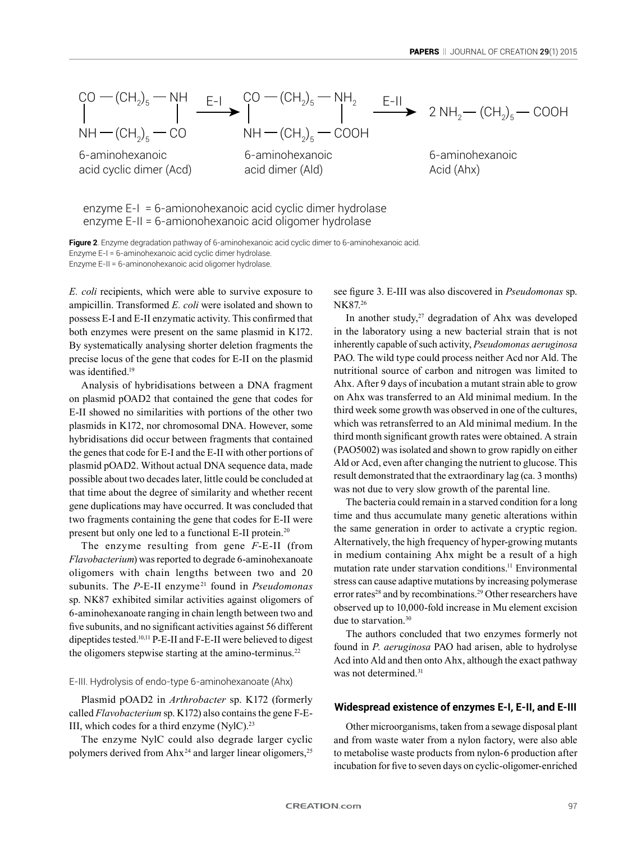

enzyme E-I = 6-amionohexanoic acid cyclic dimer hydrolase enzyme E-II = 6-amionohexanoic acid oligomer hydrolase

**Figure 2**. Enzyme degradation pathway of 6-aminohexanoic acid cyclic dimer to 6-aminohexanoic acid. Enzyme E-I = 6-aminohexanoic acid cyclic dimer hydrolase. Enzyme E-II = 6-aminonohexanoic acid oligomer hydrolase.

*E. coli* recipients, which were able to survive exposure to ampicillin. Transformed *E. coli* were isolated and shown to possess E-I and E-II enzymatic activity. This confirmed that both enzymes were present on the same plasmid in K172. By systematically analysing shorter deletion fragments the precise locus of the gene that codes for E-II on the plasmid was identified.<sup>19</sup>

Analysis of hybridisations between a DNA fragment on plasmid pOAD2 that contained the gene that codes for E-II showed no similarities with portions of the other two plasmids in K172, nor chromosomal DNA. However, some hybridisations did occur between fragments that contained the genes that code for E-I and the E-II with other portions of plasmid pOAD2. Without actual DNA sequence data, made possible about two decades later, little could be concluded at that time about the degree of similarity and whether recent gene duplications may have occurred. It was concluded that two fragments containing the gene that codes for E-II were present but only one led to a functional E-II protein.<sup>20</sup>

The enzyme resulting from gene *F*-E-II (from *Flavobacterium*) was reported to degrade 6-aminohexanoate oligomers with chain lengths between two and 20 subunits. The *P*-E-II enzyme<sup>21</sup> found in *Pseudomonas* sp. NK87 exhibited similar activities against oligomers of 6-aminohexanoate ranging in chain length between two and five subunits, and no significant activities against 56 different dipeptides tested.10,11 P-E-II and F-E-II were believed to digest the oligomers stepwise starting at the amino-terminus.<sup>22</sup>

#### E-III. Hydrolysis of endo-type 6-aminohexanoate (Ahx)

Plasmid pOAD2 in *Arthrobacter* sp. K172 (formerly called *Flavobacterium* sp. K172) also contains the gene F-E-III, which codes for a third enzyme  $(NyIC)^{23}$ 

The enzyme NylC could also degrade larger cyclic polymers derived from  $A h x^{24}$  and larger linear oligomers,  $25$ 

see figure 3. E-III was also discovered in *Pseudomonas* sp. NK87.<sup>26</sup>

In another study, $27$  degradation of Ahx was developed in the laboratory using a new bacterial strain that is not inherently capable of such activity, *Pseudomonas aeruginosa* PAO. The wild type could process neither Acd nor Ald. The nutritional source of carbon and nitrogen was limited to Ahx. After 9 days of incubation a mutant strain able to grow on Ahx was transferred to an Ald minimal medium. In the third week some growth was observed in one of the cultures, which was retransferred to an Ald minimal medium. In the third month significant growth rates were obtained. A strain (PAO5002) was isolated and shown to grow rapidly on either Ald or Acd, even after changing the nutrient to glucose. This result demonstrated that the extraordinary lag (ca. 3 months) was not due to very slow growth of the parental line.

The bacteria could remain in a starved condition for a long time and thus accumulate many genetic alterations within the same generation in order to activate a cryptic region. Alternatively, the high frequency of hyper-growing mutants in medium containing Ahx might be a result of a high mutation rate under starvation conditions.<sup>11</sup> Environmental stress can cause adaptive mutations by increasing polymerase error rates<sup>28</sup> and by recombinations.<sup>29</sup> Other researchers have observed up to 10,000-fold increase in Mu element excision due to starvation.30

The authors concluded that two enzymes formerly not found in *P. aeruginosa* PAO had arisen, able to hydrolyse Acd into Ald and then onto Ahx, although the exact pathway was not determined.<sup>31</sup>

### **Widespread existence of enzymes E-I, E-II, and E-III**

Other microorganisms, taken from a sewage disposal plant and from waste water from a nylon factory, were also able to metabolise waste products from nylon-6 production after incubation for five to seven days on cyclic-oligomer-enriched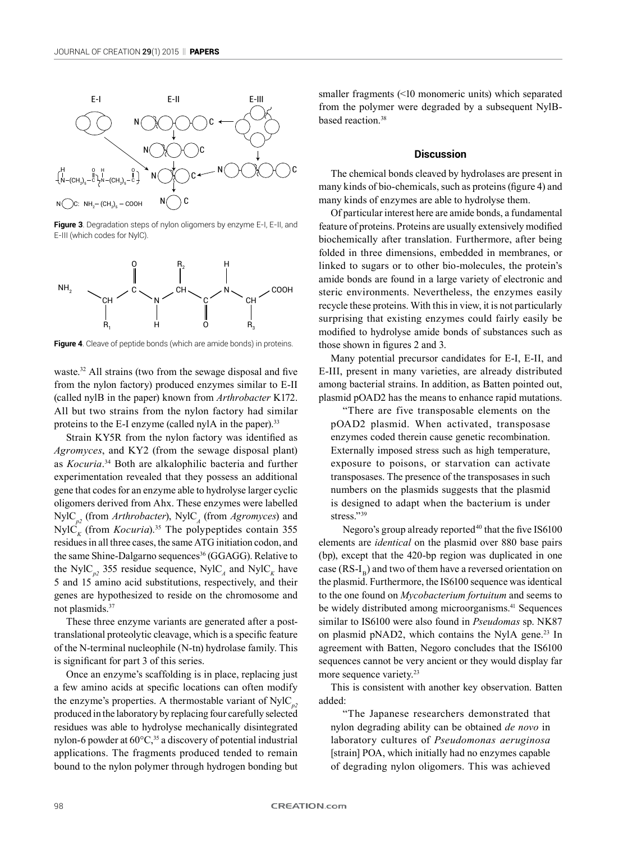

**Figure 3**. Degradation steps of nylon oligomers by enzyme E-I, E-II, and E-III (which codes for NylC).



**Figure 4**. Cleave of peptide bonds (which are amide bonds) in proteins.

waste.<sup>32</sup> All strains (two from the sewage disposal and five from the nylon factory) produced enzymes similar to E-II (called nylB in the paper) known from *Arthrobacter* K172. All but two strains from the nylon factory had similar proteins to the E-I enzyme (called nylA in the paper).<sup>33</sup>

Strain KY5R from the nylon factory was identified as *Agromyces*, and KY2 (from the sewage disposal plant) as *Kocuria*. 34 Both are alkalophilic bacteria and further experimentation revealed that they possess an additional gene that codes for an enzyme able to hydrolyse larger cyclic oligomers derived from Ahx. These enzymes were labelled  $NyIC_{p2}$  (from *Arthrobacter*),  $NyIC_{A}$  (from *Agromyces*) and  $NylC<sub>k</sub>$  (from *Kocuria*).<sup>35</sup> The polypeptides contain 355 residues in all three cases, the same ATG initiation codon, and the same Shine-Dalgarno sequences<sup>36</sup> (GGAGG). Relative to the NylC<sub>n2</sub> 355 residue sequence, NylC<sub>A</sub> and NylC<sub>K</sub> have 5 and 15 amino acid substitutions, respectively, and their genes are hypothesized to reside on the chromosome and not plasmids.37

These three enzyme variants are generated after a posttranslational proteolytic cleavage, which is a specific feature of the N-terminal nucleophile (N-tn) hydrolase family. This is significant for part 3 of this series.

Once an enzyme's scaffolding is in place, replacing just a few amino acids at specific locations can often modify the enzyme's properties. A thermostable variant of  $NylC_p^2$ produced in the laboratory by replacing four carefully selected residues was able to hydrolyse mechanically disintegrated nylon-6 powder at  $60^{\circ}$ C,<sup>35</sup> a discovery of potential industrial applications. The fragments produced tended to remain bound to the nylon polymer through hydrogen bonding but smaller fragments (<10 monomeric units) which separated from the polymer were degraded by a subsequent NylBbased reaction.<sup>38</sup>

### **Discussion**

The chemical bonds cleaved by hydrolases are present in many kinds of bio-chemicals, such as proteins (figure 4) and many kinds of enzymes are able to hydrolyse them.

Of particular interest here are amide bonds, a fundamental feature of proteins. Proteins are usually extensively modified biochemically after translation. Furthermore, after being folded in three dimensions, embedded in membranes, or linked to sugars or to other bio-molecules, the protein's amide bonds are found in a large variety of electronic and steric environments. Nevertheless, the enzymes easily recycle these proteins. With this in view, it is not particularly surprising that existing enzymes could fairly easily be modified to hydrolyse amide bonds of substances such as those shown in figures 2 and 3.

Many potential precursor candidates for E-I, E-II, and E-III, present in many varieties, are already distributed among bacterial strains. In addition, as Batten pointed out, plasmid pOAD2 has the means to enhance rapid mutations.

"There are five transposable elements on the pOAD2 plasmid. When activated, transposase enzymes coded therein cause genetic recombination. Externally imposed stress such as high temperature, exposure to poisons, or starvation can activate transposases. The presence of the transposases in such numbers on the plasmids suggests that the plasmid is designed to adapt when the bacterium is under stress."<sup>39</sup>

Negoro's group already reported<sup>40</sup> that the five IS6100 elements are *identical* on the plasmid over 880 base pairs (bp), except that the 420-bp region was duplicated in one case  $(RS-I<sub>p</sub>)$  and two of them have a reversed orientation on the plasmid. Furthermore, the IS6100 sequence was identical to the one found on *Mycobacterium fortuitum* and seems to be widely distributed among microorganisms.<sup>41</sup> Sequences similar to IS6100 were also found in *Pseudomas* sp. NK87 on plasmid pNAD2, which contains the NylA gene.<sup>23</sup> In agreement with Batten, Negoro concludes that the IS6100 sequences cannot be very ancient or they would display far more sequence variety.<sup>23</sup>

This is consistent with another key observation. Batten added:

"The Japanese researchers demonstrated that nylon degrading ability can be obtained *de novo* in laboratory cultures of *Pseudomonas aeruginosa* [strain] POA, which initially had no enzymes capable of degrading nylon oligomers. This was achieved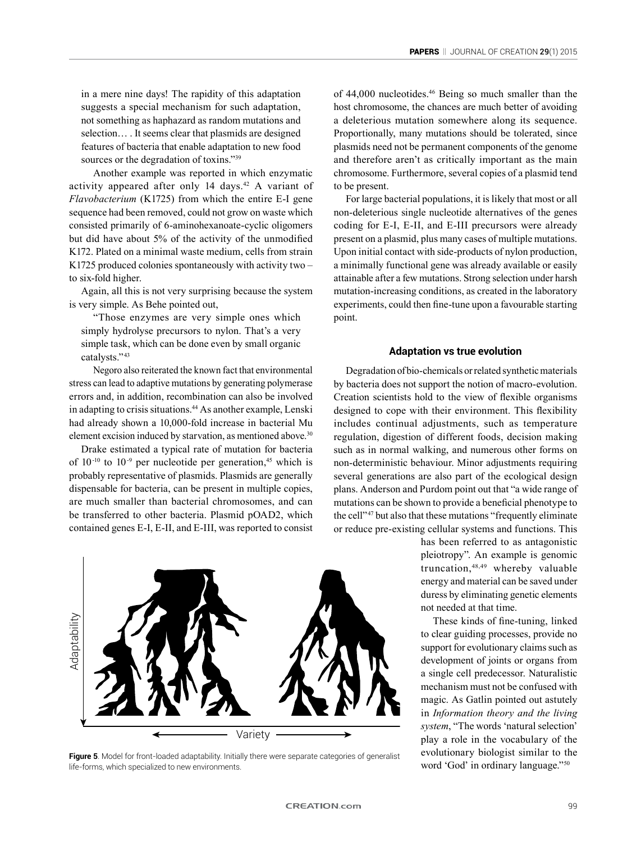in a mere nine days! The rapidity of this adaptation suggests a special mechanism for such adaptation, not something as haphazard as random mutations and selection… . It seems clear that plasmids are designed features of bacteria that enable adaptation to new food sources or the degradation of toxins."<sup>39</sup>

Another example was reported in which enzymatic activity appeared after only 14 days.<sup>42</sup> A variant of *Flavobacterium* (K1725) from which the entire E-I gene sequence had been removed, could not grow on waste which consisted primarily of 6-aminohexanoate-cyclic oligomers but did have about 5% of the activity of the unmodified K172. Plated on a minimal waste medium, cells from strain K1725 produced colonies spontaneously with activity two – to six-fold higher.

Again, all this is not very surprising because the system is very simple. As Behe pointed out,

"Those enzymes are very simple ones which simply hydrolyse precursors to nylon. That's a very simple task, which can be done even by small organic catalysts."<sup>43</sup>

Negoro also reiterated the known fact that environmental stress can lead to adaptive mutations by generating polymerase errors and, in addition, recombination can also be involved in adapting to crisis situations.<sup>44</sup> As another example, Lenski had already shown a 10,000-fold increase in bacterial Mu element excision induced by starvation, as mentioned above.<sup>30</sup>

Drake estimated a typical rate of mutation for bacteria of  $10<sup>-10</sup>$  to  $10<sup>-9</sup>$  per nucleotide per generation,<sup>45</sup> which is probably representative of plasmids. Plasmids are generally dispensable for bacteria, can be present in multiple copies, are much smaller than bacterial chromosomes, and can be transferred to other bacteria. Plasmid pOAD2, which contained genes E-I, E-II, and E-III, was reported to consist

Adaptability AdaptabilityVariety

Figure 5. Model for front-loaded adaptability. Initially there were separate categories of generalist life-forms, which specialized to new environments.

of 44,000 nucleotides.<sup>46</sup> Being so much smaller than the host chromosome, the chances are much better of avoiding a deleterious mutation somewhere along its sequence. Proportionally, many mutations should be tolerated, since plasmids need not be permanent components of the genome and therefore aren't as critically important as the main chromosome. Furthermore, several copies of a plasmid tend to be present.

For large bacterial populations, it is likely that most or all non-deleterious single nucleotide alternatives of the genes coding for E-I, E-II, and E-III precursors were already present on a plasmid, plus many cases of multiple mutations. Upon initial contact with side-products of nylon production, a minimally functional gene was already available or easily attainable after a few mutations. Strong selection under harsh mutation-increasing conditions, as created in the laboratory experiments, could then fine-tune upon a favourable starting point.

## **Adaptation vs true evolution**

Degradation of bio-chemicals or related synthetic materials by bacteria does not support the notion of macro-evolution. Creation scientists hold to the view of flexible organisms designed to cope with their environment. This flexibility includes continual adjustments, such as temperature regulation, digestion of different foods, decision making such as in normal walking, and numerous other forms on non-deterministic behaviour. Minor adjustments requiring several generations are also part of the ecological design plans. Anderson and Purdom point out that "a wide range of mutations can be shown to provide a beneficial phenotype to the cell" <sup>47</sup> but also that these mutations "frequently eliminate or reduce pre-existing cellular systems and functions. This

> has been referred to as antagonistic pleiotropy". An example is genomic truncation,48,49 whereby valuable energy and material can be saved under duress by eliminating genetic elements not needed at that time.

> These kinds of fine-tuning, linked to clear guiding processes, provide no support for evolutionary claims such as development of joints or organs from a single cell predecessor. Naturalistic mechanism must not be confused with magic. As Gatlin pointed out astutely in *Information theory and the living system*, "The words 'natural selection' play a role in the vocabulary of the evolutionary biologist similar to the word 'God' in ordinary language."50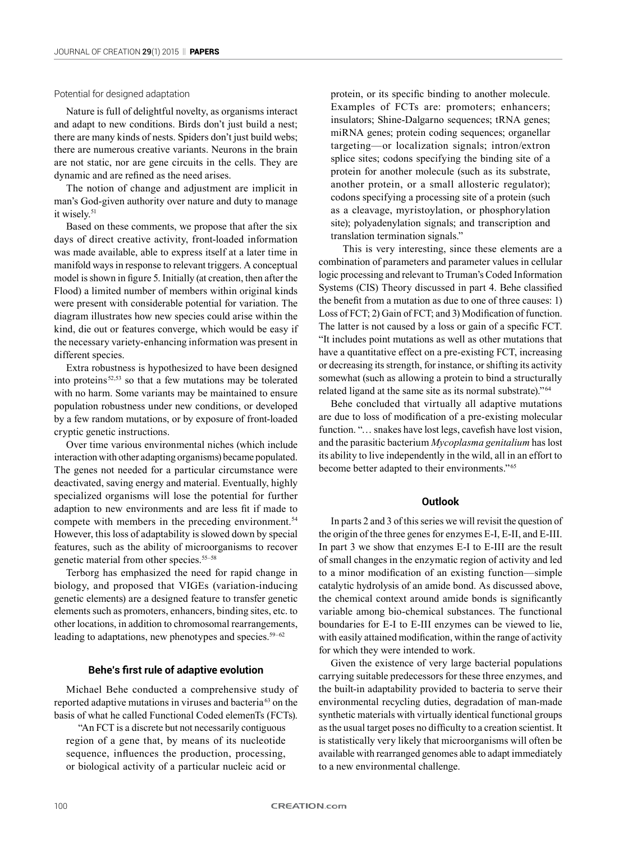## Potential for designed adaptation

Nature is full of delightful novelty, as organisms interact and adapt to new conditions. Birds don't just build a nest; there are many kinds of nests. Spiders don't just build webs; there are numerous creative variants. Neurons in the brain are not static, nor are gene circuits in the cells. They are dynamic and are refined as the need arises.

The notion of change and adjustment are implicit in man's God-given authority over nature and duty to manage it wisely.<sup>51</sup>

Based on these comments, we propose that after the six days of direct creative activity, front-loaded information was made available, able to express itself at a later time in manifold ways in response to relevant triggers. A conceptual model is shown in figure 5. Initially (at creation, then after the Flood) a limited number of members within original kinds were present with considerable potential for variation. The diagram illustrates how new species could arise within the kind, die out or features converge, which would be easy if the necessary variety-enhancing information was present in different species.

Extra robustness is hypothesized to have been designed into proteins 52,53 so that a few mutations may be tolerated with no harm. Some variants may be maintained to ensure population robustness under new conditions, or developed by a few random mutations, or by exposure of front-loaded cryptic genetic instructions.

Over time various environmental niches (which include interaction with other adapting organisms) became populated. The genes not needed for a particular circumstance were deactivated, saving energy and material. Eventually, highly specialized organisms will lose the potential for further adaption to new environments and are less fit if made to compete with members in the preceding environment.<sup>54</sup> However, this loss of adaptability is slowed down by special features, such as the ability of microorganisms to recover genetic material from other species.55–58

Terborg has emphasized the need for rapid change in biology, and proposed that VIGEs (variation-inducing genetic elements) are a designed feature to transfer genetic elements such as promoters, enhancers, binding sites, etc. to other locations, in addition to chromosomal rearrangements, leading to adaptations, new phenotypes and species. $59-62$ 

#### **Behe's first rule of adaptive evolution**

Michael Behe conducted a comprehensive study of reported adaptive mutations in viruses and bacteria 63 on the basis of what he called Functional Coded elemenTs (FCTs).

"An FCT is a discrete but not necessarily contiguous region of a gene that, by means of its nucleotide sequence, influences the production, processing, or biological activity of a particular nucleic acid or protein, or its specific binding to another molecule. Examples of FCTs are: promoters; enhancers; insulators; Shine-Dalgarno sequences; tRNA genes; miRNA genes; protein coding sequences; organellar targeting—or localization signals; intron/extron splice sites; codons specifying the binding site of a protein for another molecule (such as its substrate, another protein, or a small allosteric regulator); codons specifying a processing site of a protein (such as a cleavage, myristoylation, or phosphorylation site); polyadenylation signals; and transcription and translation termination signals."

This is very interesting, since these elements are a combination of parameters and parameter values in cellular logic processing and relevant to Truman's Coded Information Systems (CIS) Theory discussed in part 4. Behe classified the benefit from a mutation as due to one of three causes: 1) Loss of FCT; 2) Gain of FCT; and 3) Modification of function. The latter is not caused by a loss or gain of a specific FCT. "It includes point mutations as well as other mutations that have a quantitative effect on a pre-existing FCT, increasing or decreasing its strength, for instance, or shifting its activity somewhat (such as allowing a protein to bind a structurally related ligand at the same site as its normal substrate)." <sup>64</sup>

Behe concluded that virtually all adaptive mutations are due to loss of modification of a pre-existing molecular function. "... snakes have lost legs, cavefish have lost vision, and the parasitic bacterium *Mycoplasma genitalium* has lost its ability to live independently in the wild, all in an effort to become better adapted to their environments." 65

#### **Outlook**

In parts 2 and 3 of this series we will revisit the question of the origin of the three genes for enzymes E-I, E-II, and E-III. In part 3 we show that enzymes E-I to E-III are the result of small changes in the enzymatic region of activity and led to a minor modification of an existing function—simple catalytic hydrolysis of an amide bond. As discussed above, the chemical context around amide bonds is significantly variable among bio-chemical substances. The functional boundaries for E-I to E-III enzymes can be viewed to lie, with easily attained modification, within the range of activity for which they were intended to work.

Given the existence of very large bacterial populations carrying suitable predecessors for these three enzymes, and the built-in adaptability provided to bacteria to serve their environmental recycling duties, degradation of man-made synthetic materials with virtually identical functional groups as the usual target poses no difficulty to a creation scientist. It is statistically very likely that microorganisms will often be available with rearranged genomes able to adapt immediately to a new environmental challenge.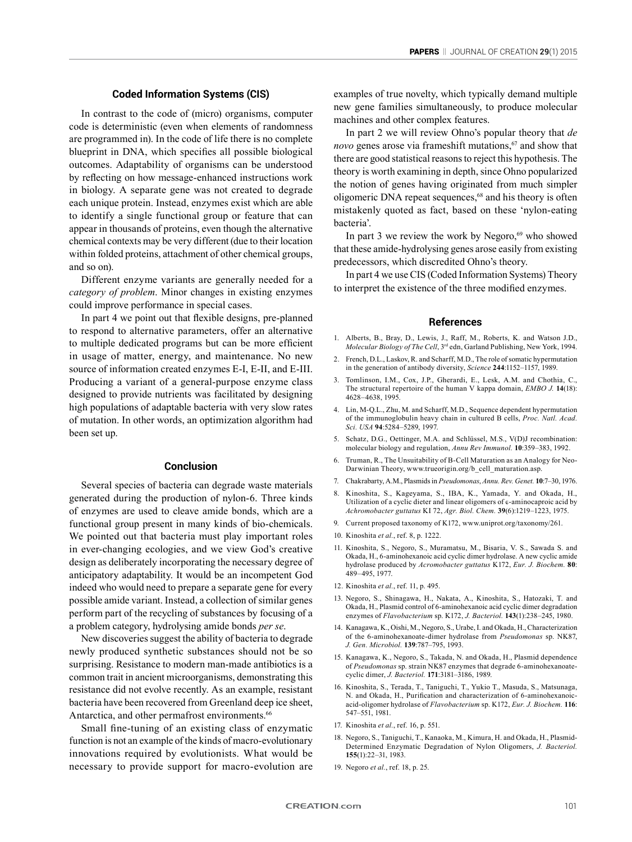# **Coded Information Systems (CIS)**

In contrast to the code of (micro) organisms, computer code is deterministic (even when elements of randomness are programmed in). In the code of life there is no complete blueprint in DNA, which specifies all possible biological outcomes. Adaptability of organisms can be understood by reflecting on how message-enhanced instructions work in biology. A separate gene was not created to degrade each unique protein. Instead, enzymes exist which are able to identify a single functional group or feature that can appear in thousands of proteins, even though the alternative chemical contexts may be very different (due to their location within folded proteins, attachment of other chemical groups, and so on).

Different enzyme variants are generally needed for a *category of problem*. Minor changes in existing enzymes could improve performance in special cases.

In part 4 we point out that flexible designs, pre-planned to respond to alternative parameters, offer an alternative to multiple dedicated programs but can be more efficient in usage of matter, energy, and maintenance. No new source of information created enzymes E-I, E-II, and E-III. Producing a variant of a general-purpose enzyme class designed to provide nutrients was facilitated by designing high populations of adaptable bacteria with very slow rates of mutation. In other words, an optimization algorithm had been set up.

## **Conclusion**

Several species of bacteria can degrade waste materials generated during the production of nylon-6. Three kinds of enzymes are used to cleave amide bonds, which are a functional group present in many kinds of bio-chemicals. We pointed out that bacteria must play important roles in ever-changing ecologies, and we view God's creative design as deliberately incorporating the necessary degree of anticipatory adaptability. It would be an incompetent God indeed who would need to prepare a separate gene for every possible amide variant. Instead, a collection of similar genes perform part of the recycling of substances by focusing of a a problem category, hydrolysing amide bonds *per se*.

New discoveries suggest the ability of bacteria to degrade newly produced synthetic substances should not be so surprising. Resistance to modern man-made antibiotics is a common trait in ancient microorganisms, demonstrating this resistance did not evolve recently. As an example, resistant bacteria have been recovered from Greenland deep ice sheet, Antarctica, and other permafrost environments.<sup>66</sup>

Small fine-tuning of an existing class of enzymatic function is not an example of the kinds of macro-evolutionary innovations required by evolutionists. What would be necessary to provide support for macro-evolution are examples of true novelty, which typically demand multiple new gene families simultaneously, to produce molecular machines and other complex features.

In part 2 we will review Ohno's popular theory that *de novo* genes arose via frameshift mutations,<sup>67</sup> and show that there are good statistical reasons to reject this hypothesis. The theory is worth examining in depth, since Ohno popularized the notion of genes having originated from much simpler oligomeric DNA repeat sequences,<sup>68</sup> and his theory is often mistakenly quoted as fact, based on these 'nylon-eating bacteria'.

In part 3 we review the work by Negoro, $69$  who showed that these amide-hydrolysing genes arose easily from existing predecessors, which discredited Ohno's theory.

In part 4 we use CIS (Coded Information Systems) Theory to interpret the existence of the three modified enzymes.

#### **References**

- 1. Alberts, B., Bray, D., Lewis, J., Raff, M., Roberts, K. and Watson J.D., *Molecular Biology of The Cell*, 3rd edn, Garland Publishing, New York, 1994.
- 2. French, D.L., Laskov, R. and Scharff, M.D., The role of somatic hypermutation in the generation of antibody diversity, *Science* **244**:1152–1157, 1989.
- 3. Tomlinson, I.M., Cox, J.P., Gherardi, E., Lesk, A.M. and Chothia, C., The structural repertoire of the human V kappa domain, *EMBO J.* **14**(18): 4628–4638, 1995.
- 4. Lin, M-Q.L., Zhu, M. and Scharff, M.D., Sequence dependent hypermutation of the immunoglobulin heavy chain in cultured B cells, *Proc. Natl. Acad. Sci. USA* **94**:5284–5289, 1997.
- 5. Schatz, D.G., Oettinger, M.A. and Schlüssel, M.S., V(D)J recombination: molecular biology and regulation, *Annu Rev Immunol.* **10**:359–383, 1992.
- 6. Truman, R., The Unsuitability of B-Cell Maturation as an Analogy for Neo-Darwinian Theory, www.trueorigin.org/b\_cell\_maturation.asp.
- 7. Chakrabarty, A.M., Plasmids in *Pseudomonas*, *Annu. Rev. Genet.* **10**:7–30, 1976.
- 8. Kinoshita, S., Kageyama, S., IBA, K., Yamada, Y. and Okada, H., Utilization of a cyclic dieter and linear oligomers of ε-aminocaproic acid by *Achromobacter guttatus* KI 72, *Agr. Biol. Chem.* **39**(6):1219–1223, 1975.
- 9. Current proposed taxonomy of K172, www.uniprot.org/taxonomy/261.
- 10. Kinoshita *et al.*, ref. 8, p. 1222.
- 11. Kinoshita, S., Negoro, S., Muramatsu, M., Bisaria, V. S., Sawada S. and Okada, H., 6-aminohexanoic acid cyclic dimer hydrolase. A new cyclic amide hydrolase produced by *Acromobacter guttatus* K172, *Eur. J. Biochem.* **80**: 489–495, 1977.
- 12. Kinoshita *et al.*, ref. 11, p. 495.
- 13. Negoro, S., Shinagawa, H., Nakata, A., Kinoshita, S., Hatozaki, T. and Okada, H., Plasmid control of 6-aminohexanoic acid cyclic dimer degradation enzymes of *Flavobacterium* sp. K172, *J. Bacteriol.* **143**(1):238–245, 1980.
- 14. Kanagawa, K., Oishi, M., Negoro, S., Urabe, I. and Okada, H., Characterization of the 6-aminohexanoate-dimer hydrolase from *Pseudomonas* sp. NK87, *J. Gen. Microbiol.* **139**:787–795, 1993.
- 15. Kanagawa, K., Negoro, S., Takada, N. and Okada, H., Plasmid dependence of *Pseudomonas* sp. strain NK87 enzymes that degrade 6-aminohexanoatecyclic dimer, *J. Bacteriol.* **171**:3181–3186, 1989.
- 16. Kinoshita, S., Terada, T., Taniguchi, T., Yukio T., Masuda, S., Matsunaga, N. and Okada, H., Purification and characterization of 6-aminohexanoicacid-oligomer hydrolase of *Flavobacterium* sp. K172, *Eur. J. Biochem.* **116**: 547–551, 1981.
- 17. Kinoshita *et al.*, ref. 16, p. 551.
- 18. Negoro, S., Taniguchi, T., Kanaoka, M., Kimura, H. and Okada, H., Plasmid-Determined Enzymatic Degradation of Nylon Oligomers, *J. Bacteriol.* **155**(1):22–31, 1983.
- 19. Negoro *et al.*, ref. 18, p. 25.